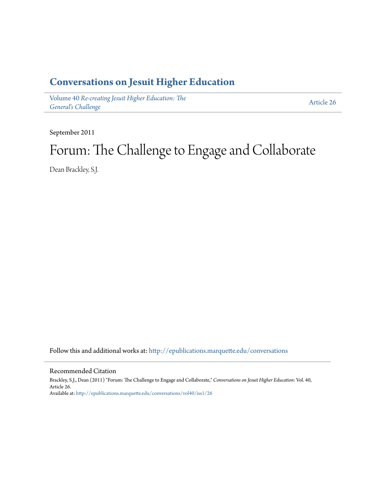### **[Conversations on Jesuit Higher Education](http://epublications.marquette.edu/conversations?utm_source=epublications.marquette.edu%2Fconversations%2Fvol40%2Fiss1%2F26&utm_medium=PDF&utm_campaign=PDFCoverPages)**

Volume 40 *[Re-creating Jesuit Higher Education: The](http://epublications.marquette.edu/conversations/vol40?utm_source=epublications.marquette.edu%2Fconversations%2Fvol40%2Fiss1%2F26&utm_medium=PDF&utm_campaign=PDFCoverPages) [General's Challenge](http://epublications.marquette.edu/conversations/vol40?utm_source=epublications.marquette.edu%2Fconversations%2Fvol40%2Fiss1%2F26&utm_medium=PDF&utm_campaign=PDFCoverPages)*

[Article 26](http://epublications.marquette.edu/conversations/vol40/iss1/26?utm_source=epublications.marquette.edu%2Fconversations%2Fvol40%2Fiss1%2F26&utm_medium=PDF&utm_campaign=PDFCoverPages)

September 2011

## Forum: The Challenge to Engage and Collaborate

Dean Brackley, S.J.

Follow this and additional works at: [http://epublications.marquette.edu/conversations](http://epublications.marquette.edu/conversations?utm_source=epublications.marquette.edu%2Fconversations%2Fvol40%2Fiss1%2F26&utm_medium=PDF&utm_campaign=PDFCoverPages)

#### Recommended Citation

Brackley, S.J., Dean (2011) "Forum: The Challenge to Engage and Collaborate," *Conversations on Jesuit Higher Education*: Vol. 40, Article 26. Available at: [http://epublications.marquette.edu/conversations/vol40/iss1/26](http://epublications.marquette.edu/conversations/vol40/iss1/26?utm_source=epublications.marquette.edu%2Fconversations%2Fvol40%2Fiss1%2F26&utm_medium=PDF&utm_campaign=PDFCoverPages)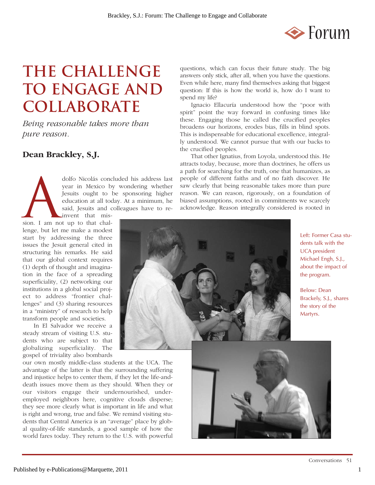

## **THE CHALLENGE TO ENGAGE AND COLLABORATE**

*Being reasonable takes more than pure reason.*

#### **Dean Brackley, S.J.**

dolfo Nicolás concluded his address last<br>year in Mexico by wondering whether<br>Jesuits ought to be sponsoring higher<br>education at all today. At a minimum, he<br>said, Jesuits and colleagues have to re-<br>invent that misyear in Mexico by wondering whether Jesuits ought to be sponsoring higher education at all today. At a minimum, he said, Jesuits and colleagues have to reinvent that mis-

sion. I am not up to that challenge, but let me make a modest start by addressing the three issues the Jesuit general cited in structuring his remarks. He said that our global context requires (1) depth of thought and imagination in the face of a spreading superficiality, (2) networking our institutions in a global social project to address "frontier challenges" and (3) sharing resources in a "ministry" of research to help transform people and societies.

In El Salvador we receive a steady stream of visiting U.S. students who are subject to that globalizing superficiality. The gospel of triviality also bombards

our own mostly middle-class students at the UCA. The advantage of the latter is that the surrounding suffering and injustice helps to center them, if they let the life-anddeath issues move them as they should. When they or our visitors engage their undernourished, underemployed neighbors here, cognitive clouds disperse; they see more clearly what is important in life and what is right and wrong, true and false. We remind visiting students that Central America is an "average" place by global quality-of-life standards, a good sample of how the world fares today. They return to the U.S. with powerful questions, which can focus their future study. The big answers only stick, after all, when you have the questions. Even while here, many find themselves asking that biggest question: If this is how the world is, how do I want to spend my life?

Ignacio Ellacuría understood how the "poor with spirit" point the way forward in confusing times like these. Engaging those he called the crucified peoples broadens our horizons, erodes bias, fills in blind spots. This is indispensable for educational excellence, integrally understood. We cannot pursue that with our backs to the crucified peoples.

That other Ignatius, from Loyola, understood this. He attracts today, because, more than doctrines, he offers us a path for searching for the truth, one that humanizes, as people of different faiths and of no faith discover. He saw clearly that being reasonable takes more than pure reason. We can reason, rigorously, on a foundation of biased assumptions, rooted in commitments we scarcely acknowledge. Reason integrally considered is rooted in



Left: Former Casa students talk with the UCA president Michael Engh, S.J., about the impact of the program.

Below: Dean Brackely, S.J., shares the story of the Martyrs.